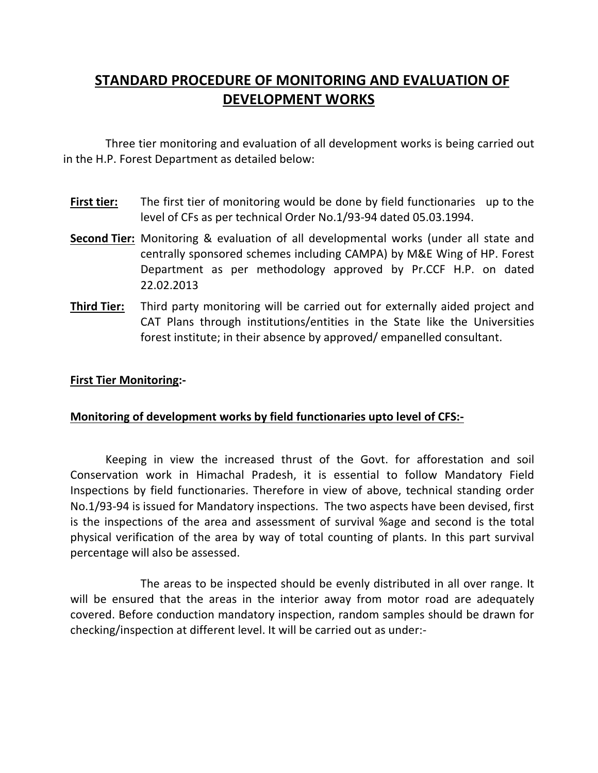# STANDARD PROCEDURE OF MONITORING AND EVALUATION OF DEVELOPMENT WORKS

Three tier monitoring and evaluation of all development works is being carried out in the H.P. Forest Department as detailed below:

- First tier: The first tier of monitoring would be done by field functionaries up to the level of CFs as per technical Order No.1/93-94 dated 05.03.1994.
- Second Tier: Monitoring & evaluation of all developmental works (under all state and centrally sponsored schemes including CAMPA) by M&E Wing of HP. Forest Department as per methodology approved by Pr.CCF H.P. on dated 22.02.2013
- **Third Tier:** Third party monitoring will be carried out for externally aided project and CAT Plans through institutions/entities in the State like the Universities forest institute; in their absence by approved/ empanelled consultant.

#### First Tier Monitoring:-

#### Monitoring of development works by field functionaries upto level of CFS:-

Keeping in view the increased thrust of the Govt. for afforestation and soil Conservation work in Himachal Pradesh, it is essential to follow Mandatory Field Inspections by field functionaries. Therefore in view of above, technical standing order No.1/93-94 is issued for Mandatory inspections. The two aspects have been devised, first is the inspections of the area and assessment of survival %age and second is the total physical verification of the area by way of total counting of plants. In this part survival percentage will also be assessed.

 The areas to be inspected should be evenly distributed in all over range. It will be ensured that the areas in the interior away from motor road are adequately covered. Before conduction mandatory inspection, random samples should be drawn for checking/inspection at different level. It will be carried out as under:-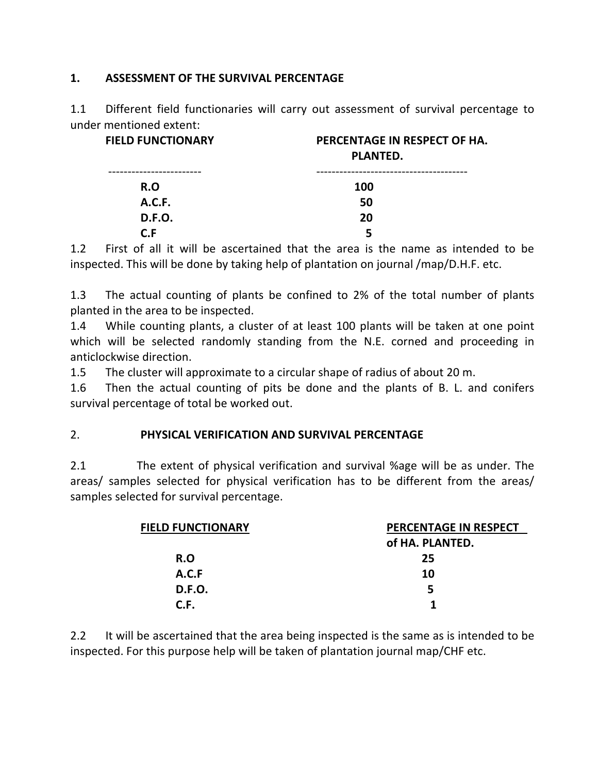#### 1. ASSESSMENT OF THE SURVIVAL PERCENTAGE

1.1 Different field functionaries will carry out assessment of survival percentage to under mentioned extent:

| <b>FIELD FUNCTIONARY</b> | PERCENTAGE IN RESPECT OF HA.<br>PLANTED. |  |
|--------------------------|------------------------------------------|--|
| .----------------        | -----------------------------            |  |
| R.O                      | <b>100</b>                               |  |
| A.C.F.                   | 50                                       |  |
| <b>D.F.O.</b>            | 20                                       |  |
| C F                      | 5                                        |  |

1.2 First of all it will be ascertained that the area is the name as intended to be inspected. This will be done by taking help of plantation on journal /map/D.H.F. etc.

1.3 The actual counting of plants be confined to 2% of the total number of plants planted in the area to be inspected.

1.4 While counting plants, a cluster of at least 100 plants will be taken at one point which will be selected randomly standing from the N.E. corned and proceeding in anticlockwise direction.

1.5 The cluster will approximate to a circular shape of radius of about 20 m.

1.6 Then the actual counting of pits be done and the plants of B. L. and conifers survival percentage of total be worked out.

## 2. PHYSICAL VERIFICATION AND SURVIVAL PERCENTAGE

2.1 The extent of physical verification and survival %age will be as under. The areas/ samples selected for physical verification has to be different from the areas/ samples selected for survival percentage.

| <b>FIELD FUNCTIONARY</b> | PERCENTAGE IN RESPECT |  |
|--------------------------|-----------------------|--|
|                          | of HA. PLANTED.       |  |
| R.O                      | 25                    |  |
| A.C.F                    | 10                    |  |
| <b>D.F.O.</b>            | 5                     |  |
| C.F.                     |                       |  |

2.2 It will be ascertained that the area being inspected is the same as is intended to be inspected. For this purpose help will be taken of plantation journal map/CHF etc.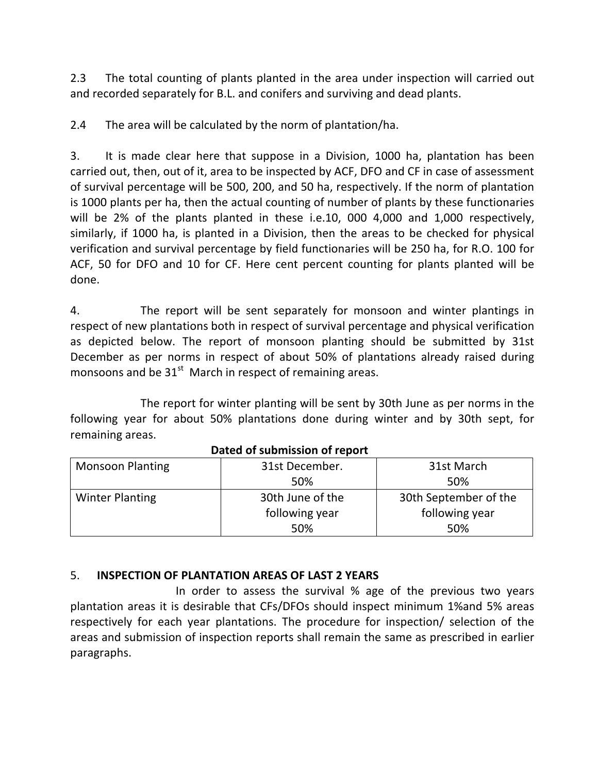2.3 The total counting of plants planted in the area under inspection will carried out and recorded separately for B.L. and conifers and surviving and dead plants.

2.4 The area will be calculated by the norm of plantation/ha.

3. It is made clear here that suppose in a Division, 1000 ha, plantation has been carried out, then, out of it, area to be inspected by ACF, DFO and CF in case of assessment of survival percentage will be 500, 200, and 50 ha, respectively. If the norm of plantation is 1000 plants per ha, then the actual counting of number of plants by these functionaries will be 2% of the plants planted in these i.e.10, 000 4,000 and 1,000 respectively, similarly, if 1000 ha, is planted in a Division, then the areas to be checked for physical verification and survival percentage by field functionaries will be 250 ha, for R.O. 100 for ACF, 50 for DFO and 10 for CF. Here cent percent counting for plants planted will be done.

4. The report will be sent separately for monsoon and winter plantings in respect of new plantations both in respect of survival percentage and physical verification as depicted below. The report of monsoon planting should be submitted by 31st December as per norms in respect of about 50% of plantations already raised during monsoons and be  $31<sup>st</sup>$  March in respect of remaining areas.

 The report for winter planting will be sent by 30th June as per norms in the following year for about 50% plantations done during winter and by 30th sept, for remaining areas.

| <b>Monsoon Planting</b> | 31st December.   | 31st March            |
|-------------------------|------------------|-----------------------|
|                         | 50%              | 50%                   |
| <b>Winter Planting</b>  | 30th June of the | 30th September of the |
|                         | following year   | following year        |
|                         | 50%              | 50%                   |

Dated of submission of report

## 5. INSPECTION OF PLANTATION AREAS OF LAST 2 YEARS

 In order to assess the survival % age of the previous two years plantation areas it is desirable that CFs/DFOs should inspect minimum 1%and 5% areas respectively for each year plantations. The procedure for inspection/ selection of the areas and submission of inspection reports shall remain the same as prescribed in earlier paragraphs.